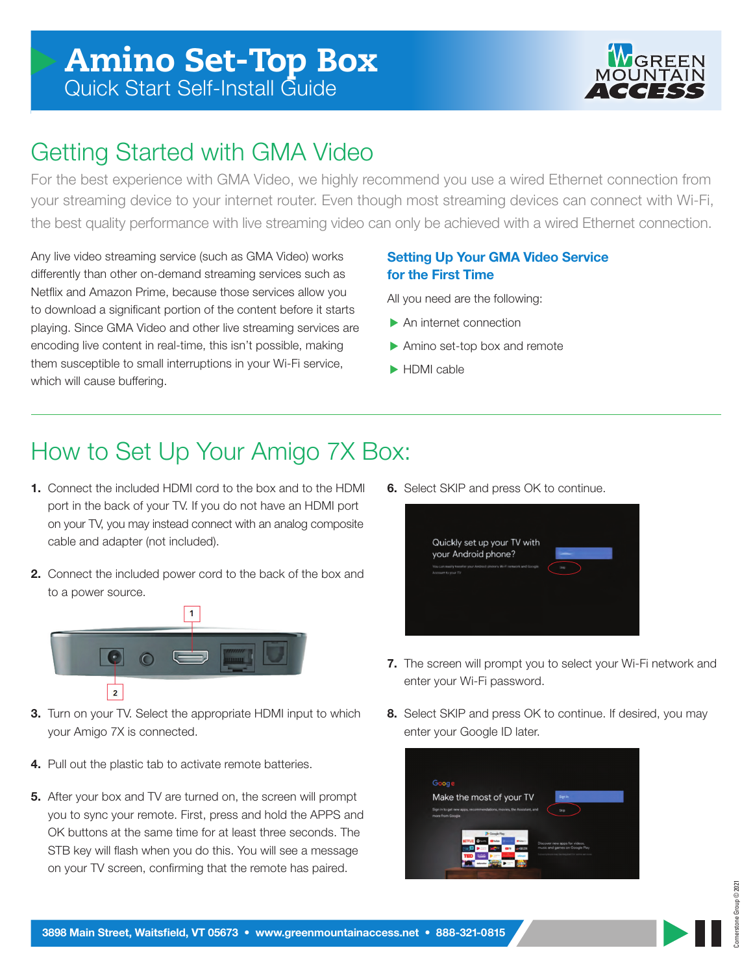

### Getting Started with GMA Video

For the best experience with GMA Video, we highly recommend you use a wired Ethernet connection from your streaming device to your internet router. Even though most streaming devices can connect with Wi-Fi, the best quality performance with live streaming video can only be achieved with a wired Ethernet connection.

Any live video streaming service (such as GMA Video) works differently than other on-demand streaming services such as Netflix and Amazon Prime, because those services allow you to download a significant portion of the content before it starts playing. Since GMA Video and other live streaming services are encoding live content in real-time, this isn't possible, making them susceptible to small interruptions in your Wi-Fi service, which will cause buffering.

#### **Setting Up Your GMA Video Service for the First Time**

All you need are the following:

- ▶ An internet connection
- Amino set-top box and remote
- HDMI cable

## How to Set Up Your Amigo 7X Box:

- **1.** Connect the included HDMI cord to the box and to the HDMI port in the back of your TV. If you do not have an HDMI port on your TV, you may instead connect with an analog composite cable and adapter (not included).
- **2.** Connect the included power cord to the back of the box and to a power source.



- **3.** Turn on your TV. Select the appropriate HDMI input to which your Amigo 7X is connected.
- **4.** Pull out the plastic tab to activate remote batteries.
- **5.** After your box and TV are turned on, the screen will prompt you to sync your remote. First, press and hold the APPS and OK buttons at the same time for at least three seconds. The STB key will flash when you do this. You will see a message on your TV screen, confirming that the remote has paired.

**6.** Select SKIP and press OK to continue.



- **7.** The screen will prompt you to select your Wi-Fi network and enter your Wi-Fi password.
- **8.** Select SKIP and press OK to continue. If desired, you may enter your Google ID later.